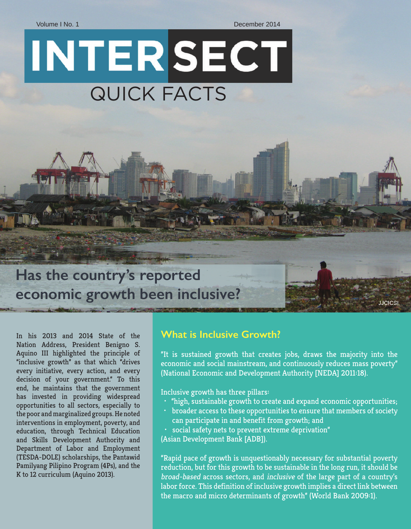Volume I No. 1 December 2014

# INTERSECT QUICK FACTS

**Has the country's reported economic growth been inclusive?**

In his 2013 and 2014 State of the Nation Address, President Benigno S. Aquino III highlighted the principle of "inclusive growth" as that which "drives every initiative, every action, and every decision of your government." To this end, he maintains that the government has invested in providing widespread opportunities to all sectors, especially to the poor and marginalized groups. He noted interventions in employment, poverty, and education, through Technical Education and Skills Development Authority and Department of Labor and Employment (TESDA-DOLE) scholarships, the Pantawid Pamilyang Pilipino Program (4Ps), and the K to 12 curriculum (Aquino 2013).

#### **What is Inclusive Growth?**

"It is sustained growth that creates jobs, draws the majority into the economic and social mainstream, and continuously reduces mass poverty" (National Economic and Development Authority [NEDA] 2011:18).

**JJCICSI** 

Inclusive growth has three pillars:

- "high, sustainable growth to create and expand economic opportunities;
- broader access to these opportunities to ensure that members of society can participate in and benefit from growth; and
- social safety nets to prevent extreme deprivation"

(Asian Development Bank [ADB]).

"Rapid pace of growth is unquestionably necessary for substantial poverty reduction, but for this growth to be sustainable in the long run, it should be broad-based across sectors, and inclusive of the large part of a country's labor force. This definition of inclusive growth implies a direct link between the macro and micro determinants of growth" (World Bank 2009:1).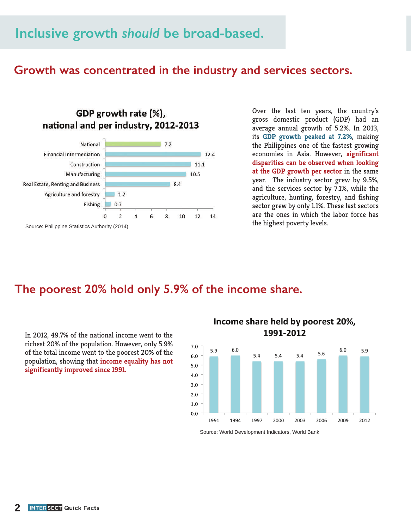## **Inclusive growth** *should* **be broad-based.**

#### **Growth was concentrated in the industry and services sectors.**



Over the last ten years, the country's gross domestic product (GDP) had an average annual growth of 5.2%. In 2013, its **GDP growth peaked at 7.2%**, making the Philippines one of the fastest growing economies in Asia. However, **significant disparities can be observed when looking at the GDP growth per sector** in the same year. The industry sector grew by 9.5%, and the services sector by 7.1%, while the agriculture, hunting, forestry, and fishing sector grew by only 1.1%. These last sectors are the ones in which the labor force has the highest poverty levels.

### **The poorest 20% hold only 5.9% of the income share.**

In 2012, 49.7% of the national income went to the richest 20% of the population. However, only 5.9% of the total income went to the poorest 20% of the population, showing that **income equality has not significantly improved since 1991.**



Income share held by poorest 20%,

Source: World Development Indicators, World Bank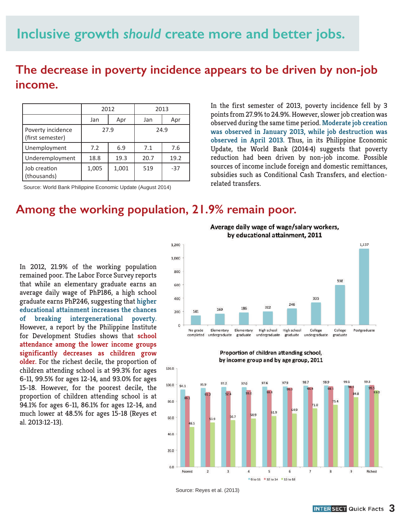## **Inclusive growth** *should* **create more and better jobs.**

## **The decrease in poverty incidence appears to be driven by non-job income.**

|                                       | 2012  |       | 2013 |       |
|---------------------------------------|-------|-------|------|-------|
|                                       | Jan   | Apr   | Jan  | Apr   |
| Poverty incidence<br>(first semester) | 27.9  |       | 24.9 |       |
| Unemployment                          | 7.2   | 6.9   | 7.1  | 7.6   |
| Underemployment                       | 18.8  | 19.3  | 20.7 | 19.2  |
| Job creation<br>(thousands)           | 1,005 | 1,001 | 519  | $-37$ |

Source: World Bank Philippine Economic Update (August 2014)

In the first semester of 2013, poverty incidence fell by 3 points from 27.9% to 24.9%. However, slower job creation was observed during the same time period. **Moderate job creation was observed in January 2013, while job destruction was observed in April 2013.** Thus, in its Philippine Economic Update, the World Bank (2014:4) suggests that poverty reduction had been driven by non-job income. Possible sources of income include foreign and domestic remittances, subsidies such as Conditional Cash Transfers, and electionrelated transfers.

#### **Among the working population, 21.9% remain poor.**

In 2012, 21.9% of the working population remained poor. The Labor Force Survey reports that while an elementary graduate earns an average daily wage of PhP186, a high school graduate earns PhP246, suggesting that **higher educational attainment increases the chances of breaking intergenerational poverty**. However, a report by the Philippine Institute for Development Studies shows that **school attendance among the lower income groups significantly decreases as children grow older.** For the richest decile, the proportion of children attending school is at 99.3% for ages 6-11, 99.5% for ages 12-14, and 93.0% for ages 15-18. However, for the poorest decile, the proportion of children attending school is at 94.1% for ages 6-11, 86.1% for ages 12-14, and much lower at 48.5% for ages 15-18 (Reyes et al. 2013:12-13).

1,200 1:137 1,000 800 598 600 400 335 246 202 186 169  $200$  $141$  $\circ$ College No grade College Elementary Elementary High school High school Postgraduate undergraduate undergraduate completed graduate undergraduate graduate graduate

Proportion of children attending school,





Source: Reyes et al. (2013)